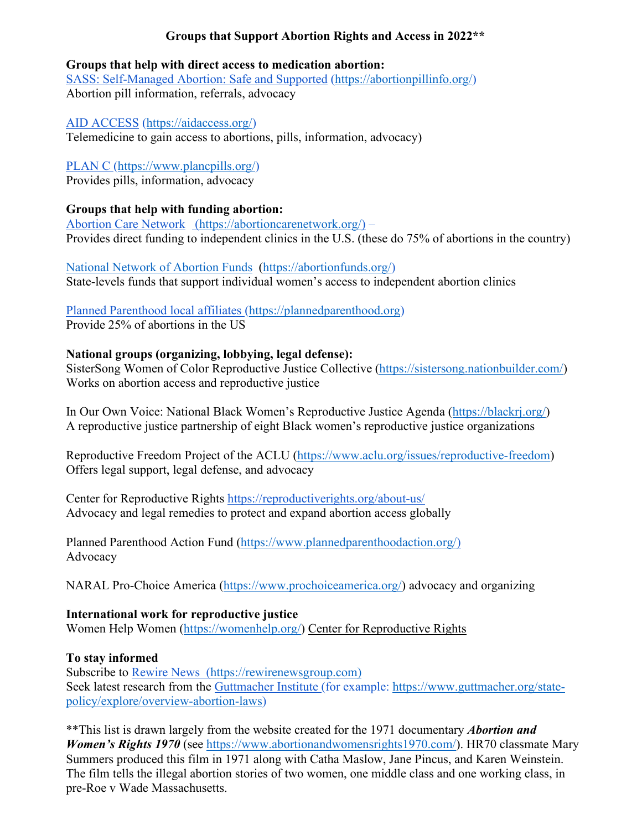### **Groups that Support Abortion Rights and Access in 2022\*\***

#### **Groups that help with direct access to medication abortion:**

[SASS: Self-Managed Abortion: Safe and Supported](https://abortionpillinfo.org/) [\(https://abortionpillinfo.org/\)](https://abortionpillinfo.org/) Abortion pill information, referrals, advocacy

[AID ACCESS](https://aidaccess.org/) [\(https://aidaccess.org/\)](https://aidaccess.org/)

Telemedicine to gain access to abortions, pills, information, advocacy)

[PLAN C](https://www.plancpills.org/) [\(https://www.plancpills.org/\)](https://www.plancpills.org/)

Provides pills, information, advocacy

### **Groups that help with funding abortion:**

[Abortion Care Network \(https://abortioncarenetwork.org/\)](https://abortioncarenetwork.org/) – Provides direct funding to independent clinics in the U.S. (these do 75% of abortions in the country)

National Network of Abortion Funds [\(https://abortionfunds.org/\)](https://abortionfunds.org/) State-levels funds that support individual women's access to independent abortion clinics

# [Planned Parenthood local affiliates](https://www.plannedparenthood.org/?_ga=2.210155799.327837320.1644430504-716519522.1644430504) [\(https://plannedparenthood.org\)](https://plannedparenthood.org/)

Provide 25% of abortions in the US

### **National groups (organizing, lobbying, legal defense):**

[SisterSong](https://sistersong.nationbuilder.com/) Women of Color Reproductive Justice Collective [\(https://sistersong.nationbuilder.com/\)](https://sistersong.nationbuilder.com/) Works on abortion access and reproductive justice

In Our Own Voice: National Black Women's Reproductive Justice Agenda [\(https://blackrj.org/\)](https://blackrj.org/) A reproductive justice partnership of eight Black women's reproductive justice organizations

Reproductive Freedom Project of the ACLU [\(https://www.aclu.org/issues/reproductive-freedom\)](https://www.aclu.org/issues/reproductive-freedom) Offers legal support, legal defense, and advocacy

Center for Reproductive Rights https://reproductiverights.org/about-us/ Advocacy and legal remedies to protect and expand abortion access globally

Planned Parenthood Action Fund [\(https://www.plannedparenthoodaction.org/\)](https://www.plannedparenthoodaction.org/) Advocacy

NARAL Pro-Choice America [\(https://www.prochoiceamerica.org/\)](https://www.prochoiceamerica.org/) advocacy and organizing

### **International work for reproductive justice**

Women Help Women [\(https://womenhelp.org/\)](https://womenhelp.org/) [Center for Reproductive Rights](https://reproductiverights.org/about-us/)

### **To stay informed**

Subscribe to [Rewire News](https://rewirenewsgroup.com/) [\(https://rewirenewsgroup.com\)](https://rewirenewsgroup.com)/) Seek latest research from the [Guttmacher Institute](https://www.guttmacher.org/) (for example: [https://www.guttmacher.org/state](https://www.guttmacher.org/state-policy/explore/overview-abortion-laws)[policy/explore/overview-abortion-laws\)](https://www.guttmacher.org/state-policy/explore/overview-abortion-laws)

\*\*This list is drawn largely from the website created for the 1971 documentary *Abortion and Women's Rights 1970* (see [https://www.abortionandwomensrights1970.com/\)](https://www.abortionandwomensrights1970.com/). HR70 classmate Mary Summers produced this film in 1971 along with Catha Maslow, Jane Pincus, and Karen Weinstein. The film tells the illegal abortion stories of two women, one middle class and one working class, in pre-Roe v Wade Massachusetts.